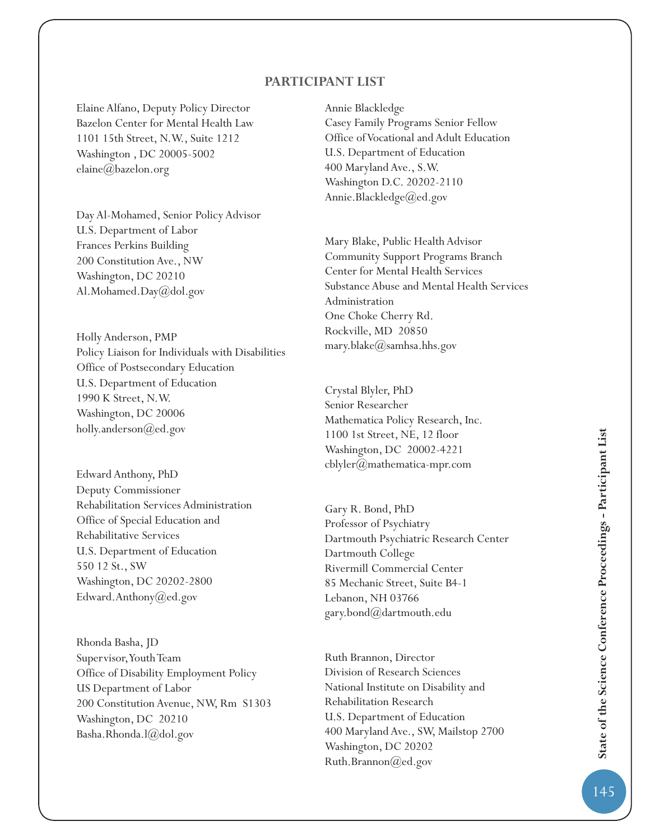## **PARTICIPANT LIST**

Elaine Alfano, Deputy Policy Director Bazelon Center for Mental Health Law 1101 15th Street, N.W., Suite 1212 Washington , DC 20005-5002 elaine@bazelon.org

Day Al-Mohamed, Senior Policy Advisor U.S. Department of Labor Frances Perkins Building 200 Constitution Ave., NW Washington, DC 20210 Al.Mohamed.Day@dol.gov

Holly Anderson, PMP Policy Liaison for Individuals with Disabilities Office of Postsecondary Education U.S. Department of Education 1990 K Street, N.W. Washington, DC 20006 holly.anderson@ed.gov

Edward Anthony, PhD Deputy Commissioner Rehabilitation Services Administration Office of Special Education and Rehabilitative Services U.S. Department of Education 550 12 St., SW Washington, DC 20202-2800 Edward.Anthony@ed.gov

Rhonda Basha, JD Supervisor, Youth Team Office of Disability Employment Policy US Department of Labor 200 Constitution Avenue, NW, Rm S1303 Washington, DC 20210 Basha.Rhonda.l@dol.gov

Annie Blackledge Casey Family Programs Senior Fellow Office of Vocational and Adult Education U.S. Department of Education 400 Maryland Ave., S.W. Washington D.C. 20202-2110 Annie.Blackledge@ed.gov

Mary Blake, Public Health Advisor Community Support Programs Branch Center for Mental Health Services Substance Abuse and Mental Health Services Administration One Choke Cherry Rd. Rockville, MD 20850 mary.blake@samhsa.hhs.gov

Crystal Blyler, PhD Senior Researcher Mathematica Policy Research, Inc. 1100 1st Street, NE, 12 floor Washington, DC 20002-4221 cblyler@mathematica-mpr.com

Gary R. Bond, PhD Professor of Psychiatry Dartmouth Psychiatric Research Center Dartmouth College Rivermill Commercial Center 85 Mechanic Street, Suite B4-1 Lebanon, NH 03766 gary.bond@dartmouth.edu

Ruth Brannon, Director Division of Research Sciences National Institute on Disability and Rehabilitation Research U.S. Department of Education 400 Maryland Ave., SW, Mailstop 2700 Washington, DC 20202 Ruth.Brannon@ed.gov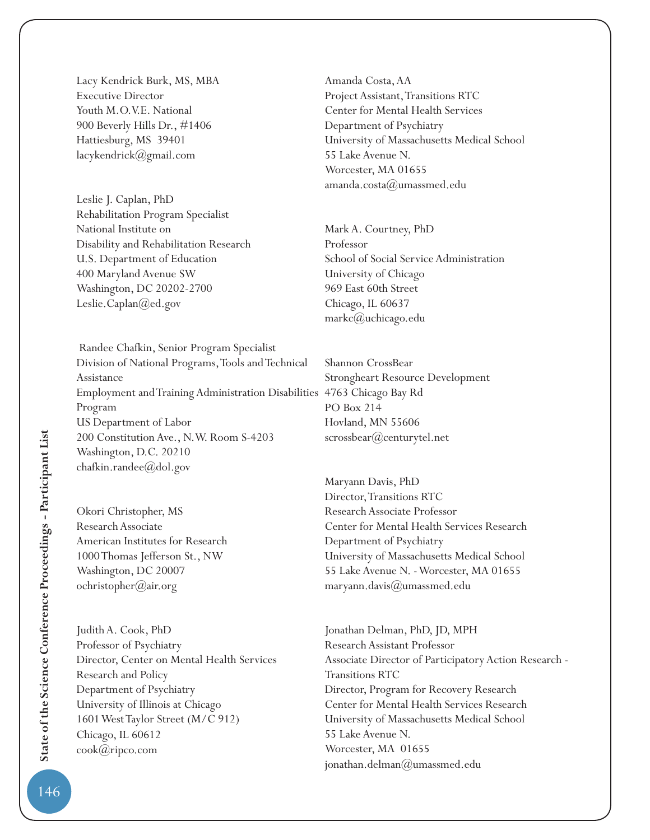Lacy Kendrick Burk, MS, MBA Executive Director Youth M.O.V.E. National 900 Beverly Hills Dr., #1406 Hattiesburg, MS 39401 lacykendrick@gmail.com

Leslie J. Caplan, PhD Rehabilitation Program Specialist National Institute on Disability and Rehabilitation Research U.S. Department of Education 400 Maryland Avenue SW Washington, DC 20202-2700 Leslie.Caplan@ed.gov

 Randee Chafkin, Senior Program Specialist Division of National Programs, Tools and Technical Assistance Employment and Training Administration Disabilities 4763 Chicago Bay Rd Program US Department of Labor 200 Constitution Ave., N.W. Room S-4203 Washington, D.C. 20210 chafkin.randee@dol.gov

Okori Christopher, MS Research Associate American Institutes for Research 1000 Thomas Jefferson St., NW Washington, DC 20007 ochristopher@air.org

Judith A. Cook, PhD Professor of Psychiatry Director, Center on Mental Health Services Research and Policy Department of Psychiatry University of Illinois at Chicago 1601 West Taylor Street (M/C 912) Chicago, IL 60612 cook@ripco.com

Amanda Costa, AA Project Assistant, Transitions RTC Center for Mental Health Services Department of Psychiatry University of Massachusetts Medical School 55 Lake Avenue N. Worcester, MA 01655 amanda.costa@umassmed.edu

Mark A. Courtney, PhD Professor School of Social Service Administration University of Chicago 969 East 60th Street Chicago, IL 60637 markc@uchicago.edu

Shannon CrossBear Strongheart Resource Development PO Box 214 Hovland, MN 55606 scrossbear@centurytel.net

Maryann Davis, PhD Director, Transitions RTC Research Associate Professor Center for Mental Health Services Research Department of Psychiatry University of Massachusetts Medical School 55 Lake Avenue N. - Worcester, MA 01655 maryann.davis@umassmed.edu

Jonathan Delman, PhD, JD, MPH Research Assistant Professor Associate Director of Participatory Action Research - Transitions RTC Director, Program for Recovery Research Center for Mental Health Services Research University of Massachusetts Medical School 55 Lake Avenue N. Worcester, MA 01655 jonathan.delman@umassmed.edu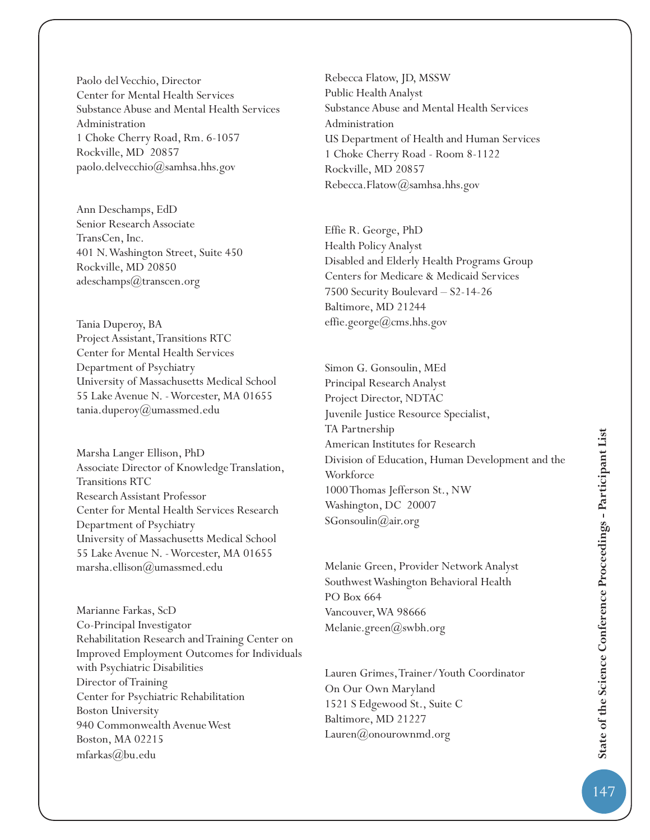Paolo del Vecchio, Director Center for Mental Health Services Substance Abuse and Mental Health Services Administration 1 Choke Cherry Road, Rm. 6-1057 Rockville, MD 20857 paolo.delvecchio@samhsa.hhs.gov

Ann Deschamps, EdD Senior Research Associate TransCen, Inc. 401 N. Washington Street, Suite 450 Rockville, MD 20850 adeschamps@transcen.org

Tania Duperoy, BA Project Assistant, Transitions RTC Center for Mental Health Services Department of Psychiatry University of Massachusetts Medical School 55 Lake Avenue N. - Worcester, MA 01655 tania.duperoy@umassmed.edu

Marsha Langer Ellison, PhD Associate Director of Knowledge Translation, Transitions RTC Research Assistant Professor Center for Mental Health Services Research Department of Psychiatry University of Massachusetts Medical School 55 Lake Avenue N. - Worcester, MA 01655 marsha.ellison@umassmed.edu

Marianne Farkas, ScD Co-Principal Investigator Rehabilitation Research and Training Center on Improved Employment Outcomes for Individuals with Psychiatric Disabilities Director of Training Center for Psychiatric Rehabilitation Boston University 940 Commonwealth Avenue West Boston, MA 02215 mfarkas@bu.edu

Rebecca Flatow, JD, MSSW Public Health Analyst Substance Abuse and Mental Health Services Administration US Department of Health and Human Services 1 Choke Cherry Road - Room 8-1122 Rockville, MD 20857 Rebecca.Flatow@samhsa.hhs.gov

Effie R. George, PhD Health Policy Analyst Disabled and Elderly Health Programs Group Centers for Medicare & Medicaid Services 7500 Security Boulevard – S2-14-26 Baltimore, MD 21244 effie.george@cms.hhs.gov

Simon G. Gonsoulin, MEd Principal Research Analyst Project Director, NDTAC Juvenile Justice Resource Specialist, TA Partnership American Institutes for Research Division of Education, Human Development and the **Workforce** 1000 Thomas Jefferson St., NW Washington, DC 20007 SGonsoulin@air.org

Melanie Green, Provider Network Analyst Southwest Washington Behavioral Health PO Box 664 Vancouver, WA 98666 Melanie.green@swbh.org

Lauren Grimes, Trainer/Youth Coordinator On Our Own Maryland 1521 S Edgewood St., Suite C Baltimore, MD 21227 Lauren@onourownmd.org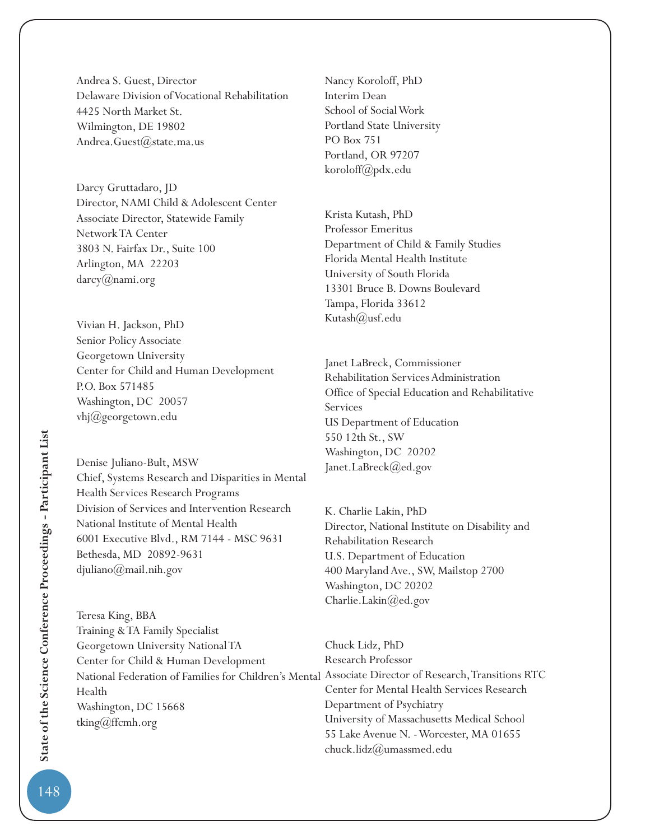Andrea S. Guest, Director Delaware Division of Vocational Rehabilitation 4425 North Market St. Wilmington, DE 19802 Andrea.Guest@state.ma.us

Darcy Gruttadaro, JD Director, NAMI Child & Adolescent Center Associate Director, Statewide Family Network TA Center 3803 N. Fairfax Dr., Suite 100 Arlington, MA 22203 darcy@nami.org

Vivian H. Jackson, PhD Senior Policy Associate Georgetown University Center for Child and Human Development P.O. Box 571485 Washington, DC 20057 vhj@georgetown.edu

Denise Juliano-Bult, MSW Chief, Systems Research and Disparities in Mental Health Services Research Programs Division of Services and Intervention Research National Institute of Mental Health 6001 Executive Blvd., RM 7144 - MSC 9631 Bethesda, MD 20892-9631 djuliano@mail.nih.gov

Teresa King, BBA Training & TA Family Specialist Georgetown University National TA Center for Child & Human Development National Federation of Families for Children's Mental Associate Director of Research, Transitions RTC Health Washington, DC 15668 tking@ffcmh.org

Nancy Koroloff, PhD Interim Dean School of Social Work Portland State University PO Box 751 Portland, OR 97207 koroloff@pdx.edu

Krista Kutash, PhD Professor Emeritus Department of Child & Family Studies Florida Mental Health Institute University of South Florida 13301 Bruce B. Downs Boulevard Tampa, Florida 33612 Kutash(*a*)usf.edu

Janet LaBreck, Commissioner Rehabilitation Services Administration Office of Special Education and Rehabilitative Services US Department of Education 550 12th St., SW Washington, DC 20202 Janet.LaBreck@ed.gov

K. Charlie Lakin, PhD Director, National Institute on Disability and Rehabilitation Research U.S. Department of Education 400 Maryland Ave., SW, Mailstop 2700 Washington, DC 20202 Charlie.Lakin@ed.gov

Chuck Lidz, PhD Research Professor Center for Mental Health Services Research Department of Psychiatry University of Massachusetts Medical School 55 Lake Avenue N. - Worcester, MA 01655 chuck.lidz@umassmed.edu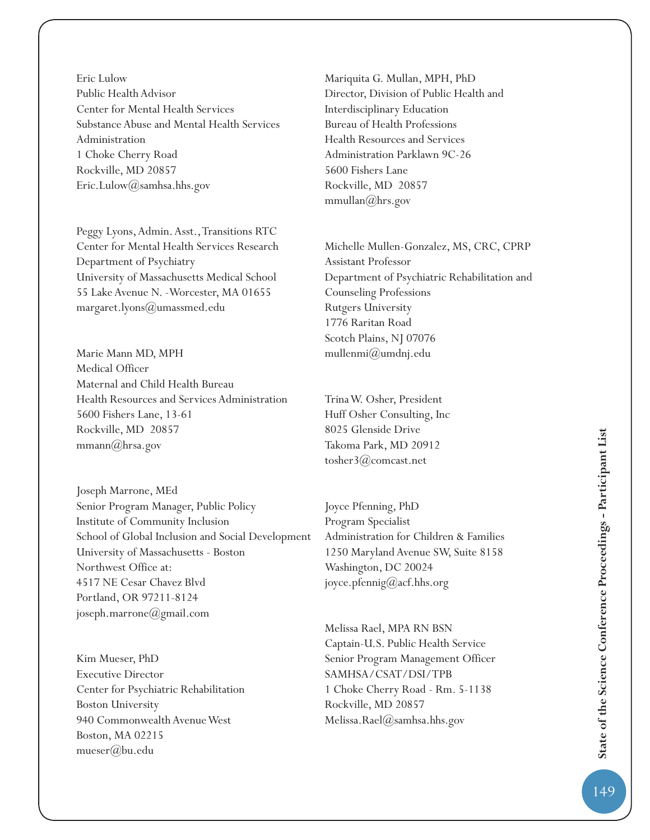Eric Lulow Public Health Advisor Center for Mental Health Services Substance Abuse and Mental Health Services Administration 1 Choke Cherry Road Rockville, MD 20857 Eric.Lulow@samhsa.hhs.gov

Peggy Lyons, Admin. Asst., Transitions RTC Center for Mental Health Services Research Department of Psychiatry University of Massachusetts Medical School 55 Lake Avenue N. -Worcester, MA 01655 margaret.lyons@umassmed.edu

Marie Mann MD, MPH Medical Officer Maternal and Child Health Bureau Health Resources and Services Administration 5600 Fishers Lane, 13-61 Rockville, MD 20857 mmann@hrsa.gov

Joseph Marrone, MEd Senior Program Manager, Public Policy Institute of Community Inclusion School of Global Inclusion and Social Development University of Massachusetts - Boston Northwest Office at: 4517 NE Cesar Chavez Blvd Portland, OR 97211-8124 joseph.marrone@gmail.com

Kim Mueser, PhD Executive Director Center for Psychiatric Rehabilitation Boston University 940 Commonwealth Avenue West Boston, MA 02215 mueser@bu.edu

Mariquita G. Mullan, MPH, PhD Director, Division of Public Health and Interdisciplinary Education Bureau of Health Professions Health Resources and Services Administration Parklawn 9C-26 5600 Fishers Lane Rockville, MD 20857 mmullan $(\omega)$ hrs.gov

Michelle Mullen-Gonzalez, MS, CRC, CPRP Assistant Professor Department of Psychiatric Rehabilitation and Counseling Professions Rutgers University 1776 Raritan Road Scotch Plains, NJ 07076 mullenmi@umdnj.edu

Trina W. Osher, President Huff Osher Consulting, Inc 8025 Glenside Drive Takoma Park, MD 20912 tosher3@comcast.net

Joyce Pfenning, PhD Program Specialist Administration for Children & Families 1250 Maryland Avenue SW, Suite 8158 Washington, DC 20024 joyce.pfennig@acf.hhs.org

Melissa Rael, MPA RN BSN Captain-U.S. Public Health Service Senior Program Management Officer SAMHSA/CSAT/DSI/TPB 1 Choke Cherry Road - Rm. 5-1138 Rockville, MD 20857 Melissa.Rael@samhsa.hhs.gov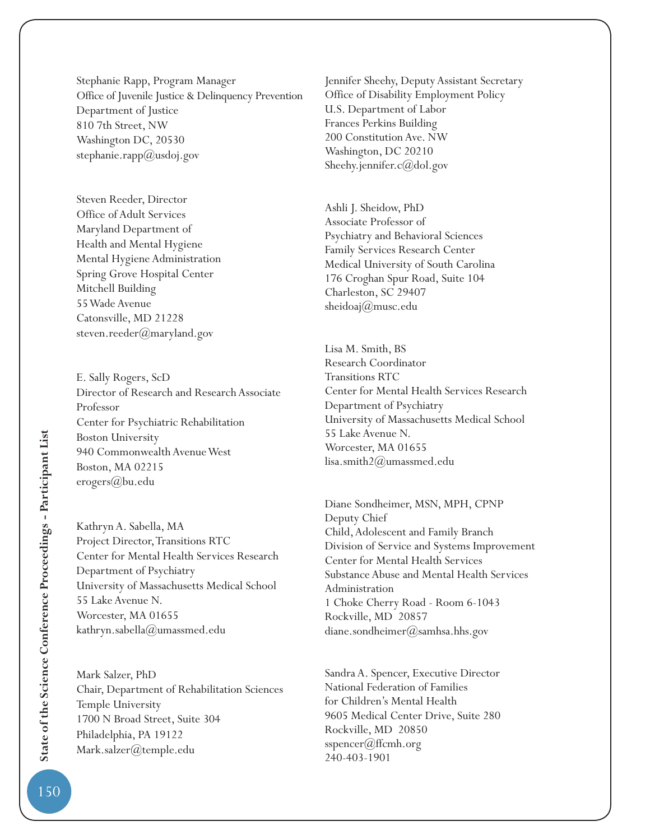Stephanie Rapp, Program Manager Office of Juvenile Justice & Delinquency Prevention Department of Justice 810 7th Street, NW Washington DC, 20530 stephanie.rapp $(\omega)$ usdoj.gov

Steven Reeder, Director Office of Adult Services Maryland Department of Health and Mental Hygiene Mental Hygiene Administration Spring Grove Hospital Center Mitchell Building 55 Wade Avenue Catonsville, MD 21228 steven.reeder@maryland.gov

E. Sally Rogers, ScD Director of Research and Research Associate Professor Center for Psychiatric Rehabilitation Boston University 940 Commonwealth Avenue West Boston, MA 02215 erogers@bu.edu

Kathryn A. Sabella, MA Project Director, Transitions RTC Center for Mental Health Services Research Department of Psychiatry University of Massachusetts Medical School 55 Lake Avenue N. Worcester, MA 01655 kathryn.sabella@umassmed.edu

Mark Salzer, PhD Chair, Department of Rehabilitation Sciences Temple University 1700 N Broad Street, Suite 304 Philadelphia, PA 19122 Mark.salzer@temple.edu

Jennifer Sheehy, Deputy Assistant Secretary Office of Disability Employment Policy U.S. Department of Labor Frances Perkins Building 200 Constitution Ave. NW Washington, DC 20210 Sheehy.jennifer.c@dol.gov

Ashli J. Sheidow, PhD Associate Professor of Psychiatry and Behavioral Sciences Family Services Research Center Medical University of South Carolina 176 Croghan Spur Road, Suite 104 Charleston, SC 29407 sheidoaj@musc.edu

Lisa M. Smith, BS Research Coordinator Transitions RTC Center for Mental Health Services Research Department of Psychiatry University of Massachusetts Medical School 55 Lake Avenue N. Worcester, MA 01655 lisa.smith2@umassmed.edu

Diane Sondheimer, MSN, MPH, CPNP Deputy Chief Child, Adolescent and Family Branch Division of Service and Systems Improvement Center for Mental Health Services Substance Abuse and Mental Health Services Administration 1 Choke Cherry Road - Room 6-1043 Rockville, MD 20857 diane.sondheimer@samhsa.hhs.gov

Sandra A. Spencer, Executive Director National Federation of Families for Children's Mental Health 9605 Medical Center Drive, Suite 280 Rockville, MD 20850 sspencer(*a*)ffcmh.org 240-403-1901